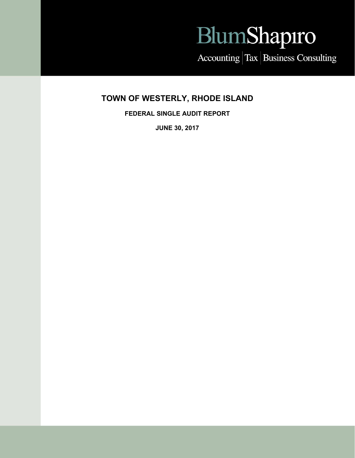# BlumShapiro

Accounting Tax Business Consulting

# **TOWN OF WESTERLY, RHODE ISLAND**

**FEDERAL SINGLE AUDIT REPORT** 

**JUNE 30, 2017**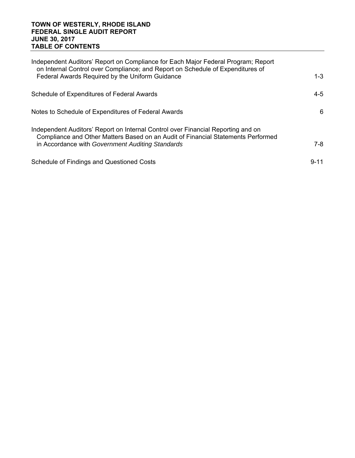#### **TOWN OF WESTERLY, RHODE ISLAND FEDERAL SINGLE AUDIT REPORT JUNE 30, 2017 TABLE OF CONTENTS**

| Independent Auditors' Report on Compliance for Each Major Federal Program; Report<br>on Internal Control over Compliance; and Report on Schedule of Expenditures of  |          |
|----------------------------------------------------------------------------------------------------------------------------------------------------------------------|----------|
| Federal Awards Required by the Uniform Guidance                                                                                                                      | $1 - 3$  |
| Schedule of Expenditures of Federal Awards                                                                                                                           | 4-5      |
| Notes to Schedule of Expenditures of Federal Awards                                                                                                                  | 6        |
| Independent Auditors' Report on Internal Control over Financial Reporting and on<br>Compliance and Other Matters Based on an Audit of Financial Statements Performed |          |
| in Accordance with Government Auditing Standards                                                                                                                     | $7-8$    |
| Schedule of Findings and Questioned Costs                                                                                                                            | $9 - 11$ |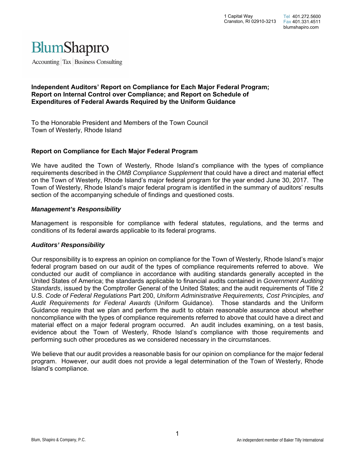

Accounting Tax Business Consulting

#### **Independent Auditors' Report on Compliance for Each Major Federal Program; Report on Internal Control over Compliance; and Report on Schedule of Expenditures of Federal Awards Required by the Uniform Guidance**

To the Honorable President and Members of the Town Council Town of Westerly, Rhode Island

#### **Report on Compliance for Each Major Federal Program**

We have audited the Town of Westerly, Rhode Island's compliance with the types of compliance requirements described in the *OMB Compliance Supplement* that could have a direct and material effect on the Town of Westerly, Rhode Island's major federal program for the year ended June 30, 2017. The Town of Westerly, Rhode Island's major federal program is identified in the summary of auditors' results section of the accompanying schedule of findings and questioned costs.

#### *Management's Responsibility*

Management is responsible for compliance with federal statutes, regulations, and the terms and conditions of its federal awards applicable to its federal programs.

#### *Auditors' Responsibility*

Our responsibility is to express an opinion on compliance for the Town of Westerly, Rhode Island's major federal program based on our audit of the types of compliance requirements referred to above. We conducted our audit of compliance in accordance with auditing standards generally accepted in the United States of America; the standards applicable to financial audits contained in *Government Auditing Standards*, issued by the Comptroller General of the United States; and the audit requirements of Title 2 U.S. *Code of Federal Regulations* Part 200, *Uniform Administrative Requirements, Cost Principles, and Audit Requirements for Federal Awards* (Uniform Guidance). Those standards and the Uniform Guidance require that we plan and perform the audit to obtain reasonable assurance about whether noncompliance with the types of compliance requirements referred to above that could have a direct and material effect on a major federal program occurred. An audit includes examining, on a test basis, evidence about the Town of Westerly, Rhode Island's compliance with those requirements and performing such other procedures as we considered necessary in the circumstances.

We believe that our audit provides a reasonable basis for our opinion on compliance for the major federal program. However, our audit does not provide a legal determination of the Town of Westerly, Rhode Island's compliance.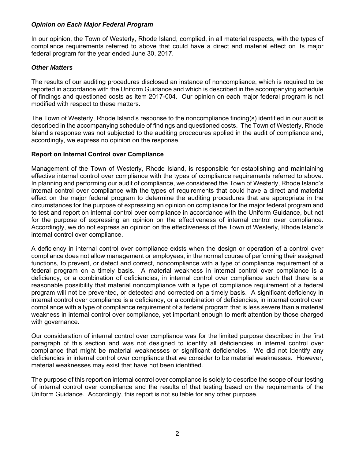### *Opinion on Each Major Federal Program*

In our opinion, the Town of Westerly, Rhode Island, complied, in all material respects, with the types of compliance requirements referred to above that could have a direct and material effect on its major federal program for the year ended June 30, 2017.

#### *Other Matters*

The results of our auditing procedures disclosed an instance of noncompliance, which is required to be reported in accordance with the Uniform Guidance and which is described in the accompanying schedule of findings and questioned costs as item 2017-004. Our opinion on each major federal program is not modified with respect to these matters.

The Town of Westerly, Rhode Island's response to the noncompliance finding(s) identified in our audit is described in the accompanying schedule of findings and questioned costs. The Town of Westerly, Rhode Island's response was not subjected to the auditing procedures applied in the audit of compliance and, accordingly, we express no opinion on the response.

#### **Report on Internal Control over Compliance**

Management of the Town of Westerly, Rhode Island, is responsible for establishing and maintaining effective internal control over compliance with the types of compliance requirements referred to above. In planning and performing our audit of compliance, we considered the Town of Westerly, Rhode Island's internal control over compliance with the types of requirements that could have a direct and material effect on the major federal program to determine the auditing procedures that are appropriate in the circumstances for the purpose of expressing an opinion on compliance for the major federal program and to test and report on internal control over compliance in accordance with the Uniform Guidance, but not for the purpose of expressing an opinion on the effectiveness of internal control over compliance. Accordingly, we do not express an opinion on the effectiveness of the Town of Westerly, Rhode Island's internal control over compliance.

A deficiency in internal control over compliance exists when the design or operation of a control over compliance does not allow management or employees, in the normal course of performing their assigned functions, to prevent, or detect and correct, noncompliance with a type of compliance requirement of a federal program on a timely basis. A material weakness in internal control over compliance is a deficiency, or a combination of deficiencies, in internal control over compliance such that there is a reasonable possibility that material noncompliance with a type of compliance requirement of a federal program will not be prevented, or detected and corrected on a timely basis. A significant deficiency in internal control over compliance is a deficiency, or a combination of deficiencies, in internal control over compliance with a type of compliance requirement of a federal program that is less severe than a material weakness in internal control over compliance, yet important enough to merit attention by those charged with governance.

Our consideration of internal control over compliance was for the limited purpose described in the first paragraph of this section and was not designed to identify all deficiencies in internal control over compliance that might be material weaknesses or significant deficiencies. We did not identify any deficiencies in internal control over compliance that we consider to be material weaknesses. However, material weaknesses may exist that have not been identified.

The purpose of this report on internal control over compliance is solely to describe the scope of our testing of internal control over compliance and the results of that testing based on the requirements of the Uniform Guidance. Accordingly, this report is not suitable for any other purpose.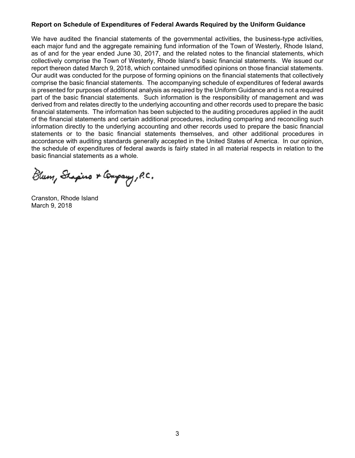#### **Report on Schedule of Expenditures of Federal Awards Required by the Uniform Guidance**

We have audited the financial statements of the governmental activities, the business-type activities*,* each major fund and the aggregate remaining fund information of the Town of Westerly, Rhode Island, as of and for the year ended June 30, 2017, and the related notes to the financial statements, which collectively comprise the Town of Westerly, Rhode Island's basic financial statements. We issued our report thereon dated March 9, 2018, which contained unmodified opinions on those financial statements. Our audit was conducted for the purpose of forming opinions on the financial statements that collectively comprise the basic financial statements. The accompanying schedule of expenditures of federal awards is presented for purposes of additional analysis as required by the Uniform Guidance and is not a required part of the basic financial statements. Such information is the responsibility of management and was derived from and relates directly to the underlying accounting and other records used to prepare the basic financial statements. The information has been subjected to the auditing procedures applied in the audit of the financial statements and certain additional procedures, including comparing and reconciling such information directly to the underlying accounting and other records used to prepare the basic financial statements or to the basic financial statements themselves, and other additional procedures in accordance with auditing standards generally accepted in the United States of America. In our opinion, the schedule of expenditures of federal awards is fairly stated in all material respects in relation to the basic financial statements as a whole.

Blum, Shapino & Company, P.C.

Cranston, Rhode Island March 9, 2018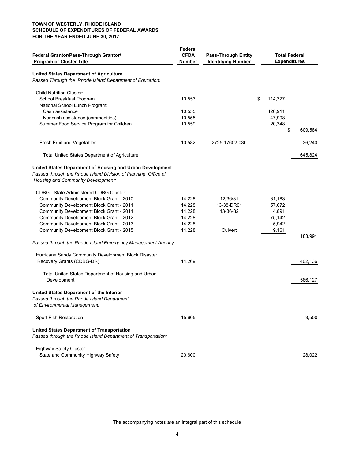#### **TOWN OF WESTERLY, RHODE ISLAND SCHEDULE OF EXPENDITURES OF FEDERAL AWARDS FOR THE YEAR ENDED JUNE 30, 2017**

| Federal Grantor/Pass-Through Grantor/<br><b>Program or Cluster Title</b>                                                                                           | Federal<br><b>CFDA</b><br>Number | <b>Pass-Through Entity</b><br><b>Identifying Number</b> | <b>Total Federal</b><br><b>Expenditures</b> |         |
|--------------------------------------------------------------------------------------------------------------------------------------------------------------------|----------------------------------|---------------------------------------------------------|---------------------------------------------|---------|
| <b>United States Department of Agriculture</b><br>Passed Through the Rhode Island Department of Education:                                                         |                                  |                                                         |                                             |         |
| <b>Child Nutrition Cluster:</b><br>School Breakfast Program                                                                                                        | 10.553                           |                                                         | \$<br>114,327                               |         |
| National School Lunch Program:                                                                                                                                     |                                  |                                                         |                                             |         |
| Cash assistance                                                                                                                                                    | 10.555                           |                                                         | 426,911                                     |         |
| Noncash assistance (commodities)                                                                                                                                   | 10.555                           |                                                         | 47,998                                      |         |
| Summer Food Service Program for Children                                                                                                                           | 10.559                           |                                                         | 20,348                                      |         |
|                                                                                                                                                                    |                                  |                                                         | \$                                          | 609,584 |
| Fresh Fruit and Vegetables                                                                                                                                         | 10.582                           | 2725-17602-030                                          |                                             | 36,240  |
| <b>Total United States Department of Agriculture</b>                                                                                                               |                                  |                                                         |                                             | 645,824 |
| United States Department of Housing and Urban Development<br>Passed through the Rhode Island Division of Planning, Office of<br>Housing and Community Development: |                                  |                                                         |                                             |         |
| <b>CDBG - State Administered CDBG Cluster:</b>                                                                                                                     |                                  |                                                         |                                             |         |
| Community Development Block Grant - 2010                                                                                                                           | 14.228                           | 12/36/31                                                | 31,183                                      |         |
| Community Development Block Grant - 2011                                                                                                                           | 14.228                           | 13-38-DR01                                              | 57,672                                      |         |
| Community Development Block Grant - 2011                                                                                                                           | 14.228                           | 13-36-32                                                | 4,891                                       |         |
| Community Development Block Grant - 2012                                                                                                                           | 14.228                           |                                                         | 75,142                                      |         |
| Community Development Block Grant - 2013                                                                                                                           | 14.228                           |                                                         | 5,942                                       |         |
| Community Development Block Grant - 2015                                                                                                                           | 14.228                           | Culvert                                                 | 9,161                                       |         |
|                                                                                                                                                                    |                                  |                                                         |                                             | 183,991 |
| Passed through the Rhode Island Emergency Management Agency:                                                                                                       |                                  |                                                         |                                             |         |
| Hurricane Sandy Community Development Block Disaster                                                                                                               |                                  |                                                         |                                             |         |
| Recovery Grants (CDBG-DR)                                                                                                                                          | 14.269                           |                                                         |                                             | 402,136 |
| Total United States Department of Housing and Urban<br>Development                                                                                                 |                                  |                                                         |                                             | 586,127 |
| United States Department of the Interior<br>Passed through the Rhode Island Department<br>of Environmental Management:                                             |                                  |                                                         |                                             |         |
| Sport Fish Restoration                                                                                                                                             | 15.605                           |                                                         |                                             | 3,500   |
| <b>United States Department of Transportation</b><br>Passed through the Rhode Island Department of Transportation:                                                 |                                  |                                                         |                                             |         |
|                                                                                                                                                                    |                                  |                                                         |                                             |         |
| <b>Highway Safety Cluster:</b>                                                                                                                                     |                                  |                                                         |                                             |         |
| State and Community Highway Safety                                                                                                                                 | 20.600                           |                                                         |                                             | 28,022  |

The accompanying notes are an integral part of this schedule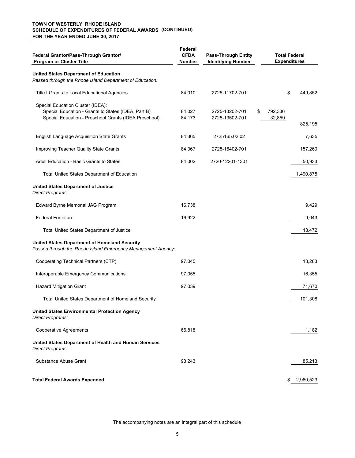#### **(CONTINUED) SCHEDULE OF EXPENDITURES OF FEDERAL AWARDS TOWN OF WESTERLY, RHODE ISLAND FOR THE YEAR ENDED JUNE 30, 2017**

| Federal Grantor/Pass-Through Grantor/<br><b>Program or Cluster Title</b>                                                                          | Federal<br><b>CFDA</b><br>Number | <b>Pass-Through Entity</b><br><b>Identifying Number</b> |                         | <b>Total Federal</b><br><b>Expenditures</b> |
|---------------------------------------------------------------------------------------------------------------------------------------------------|----------------------------------|---------------------------------------------------------|-------------------------|---------------------------------------------|
| <b>United States Department of Education</b><br>Passed through the Rhode Island Department of Education:                                          |                                  |                                                         |                         |                                             |
| Title I Grants to Local Educational Agencies                                                                                                      | 84.010                           | 2725-11702-701                                          |                         | \$<br>449,852                               |
| Special Education Cluster (IDEA):<br>Special Education - Grants to States (IDEA, Part B)<br>Special Education - Preschool Grants (IDEA Preschool) | 84.027<br>84.173                 | 2725-13202-701<br>2725-13502-701                        | \$<br>792,336<br>32,859 | 825,195                                     |
| English Language Acquisition State Grants                                                                                                         | 84.365                           | 2725165.02.02                                           |                         | 7,635                                       |
| Improving Teacher Quality State Grants                                                                                                            | 84.367                           | 2725-16402-701                                          |                         | 157,260                                     |
| Adult Education - Basic Grants to States                                                                                                          | 84.002                           | 2720-12201-1301                                         |                         | 50,933                                      |
| <b>Total United States Department of Education</b>                                                                                                |                                  |                                                         |                         | 1,490,875                                   |
| <b>United States Department of Justice</b><br>Direct Programs:                                                                                    |                                  |                                                         |                         |                                             |
| Edward Byrne Memorial JAG Program                                                                                                                 | 16.738                           |                                                         |                         | 9,429                                       |
| <b>Federal Forfeiture</b>                                                                                                                         | 16.922                           |                                                         |                         | 9,043                                       |
| <b>Total United States Department of Justice</b>                                                                                                  |                                  |                                                         |                         | 18,472                                      |
| <b>United States Department of Homeland Security</b><br>Passed through the Rhode Island Emergency Management Agency:                              |                                  |                                                         |                         |                                             |
| Cooperating Technical Partners (CTP)                                                                                                              | 97.045                           |                                                         |                         | 13,283                                      |
| Interoperable Emergency Communications                                                                                                            | 97.055                           |                                                         |                         | 16,355                                      |
| <b>Hazard Mitigation Grant</b>                                                                                                                    | 97.039                           |                                                         |                         | 71,670                                      |
| <b>Total United States Department of Homeland Security</b>                                                                                        |                                  |                                                         |                         | 101,308                                     |
| <b>United States Environmental Protection Agency</b><br>Direct Programs:                                                                          |                                  |                                                         |                         |                                             |
| <b>Cooperative Agreements</b>                                                                                                                     | 66.818                           |                                                         |                         | 1,182                                       |
| United States Department of Health and Human Services<br>Direct Programs:                                                                         |                                  |                                                         |                         |                                             |
| Substance Abuse Grant                                                                                                                             | 93.243                           |                                                         |                         | 85,213                                      |
| <b>Total Federal Awards Expended</b>                                                                                                              |                                  |                                                         |                         | 2,960,523<br>\$                             |

The accompanying notes are an integral part of this schedule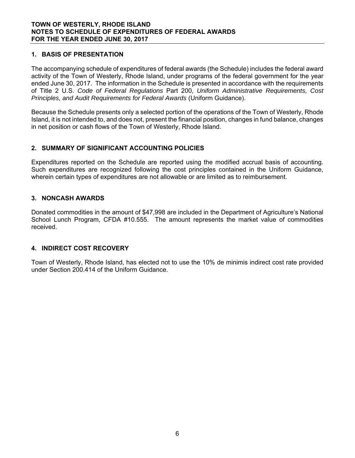### **1. BASIS OF PRESENTATION**

The accompanying schedule of expenditures of federal awards (the Schedule) includes the federal award activity of the Town of Westerly, Rhode Island, under programs of the federal government for the year ended June 30, 2017. The information in the Schedule is presented in accordance with the requirements of Title 2 U.S. *Code of Federal Regulations* Part 200, *Uniform Administrative Requirements, Cost Principles, and Audit Requirements for Federal Awards* (Uniform Guidance).

Because the Schedule presents only a selected portion of the operations of the Town of Westerly, Rhode Island, it is not intended to, and does not, present the financial position, changes in fund balance, changes in net position or cash flows of the Town of Westerly, Rhode Island.

# **2. SUMMARY OF SIGNIFICANT ACCOUNTING POLICIES**

Expenditures reported on the Schedule are reported using the modified accrual basis of accounting. Such expenditures are recognized following the cost principles contained in the Uniform Guidance, wherein certain types of expenditures are not allowable or are limited as to reimbursement.

### **3. NONCASH AWARDS**

Donated commodities in the amount of \$47,998 are included in the Department of Agriculture's National School Lunch Program, CFDA #10.555. The amount represents the market value of commodities received.

### **4. INDIRECT COST RECOVERY**

Town of Westerly, Rhode Island, has elected not to use the 10% de minimis indirect cost rate provided under Section 200.414 of the Uniform Guidance.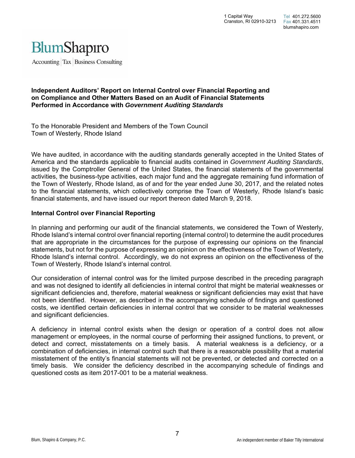

Accounting Tax Business Consulting

#### **Independent Auditors' Report on Internal Control over Financial Reporting and on Compliance and Other Matters Based on an Audit of Financial Statements Performed in Accordance with** *Government Auditing Standards*

To the Honorable President and Members of the Town Council Town of Westerly, Rhode Island

We have audited, in accordance with the auditing standards generally accepted in the United States of America and the standards applicable to financial audits contained in *Government Auditing Standards*, issued by the Comptroller General of the United States, the financial statements of the governmental activities, the business-type activities, each major fund and the aggregate remaining fund information of the Town of Westerly, Rhode Island, as of and for the year ended June 30, 2017, and the related notes to the financial statements, which collectively comprise the Town of Westerly, Rhode Island's basic financial statements, and have issued our report thereon dated March 9, 2018.

#### **Internal Control over Financial Reporting**

In planning and performing our audit of the financial statements, we considered the Town of Westerly, Rhode Island's internal control over financial reporting (internal control) to determine the audit procedures that are appropriate in the circumstances for the purpose of expressing our opinions on the financial statements, but not for the purpose of expressing an opinion on the effectiveness of the Town of Westerly, Rhode Island's internal control. Accordingly, we do not express an opinion on the effectiveness of the Town of Westerly, Rhode Island's internal control.

Our consideration of internal control was for the limited purpose described in the preceding paragraph and was not designed to identify all deficiencies in internal control that might be material weaknesses or significant deficiencies and, therefore, material weakness or significant deficiencies may exist that have not been identified. However, as described in the accompanying schedule of findings and questioned costs, we identified certain deficiencies in internal control that we consider to be material weaknesses and significant deficiencies.

A deficiency in internal control exists when the design or operation of a control does not allow management or employees, in the normal course of performing their assigned functions, to prevent, or detect and correct, misstatements on a timely basis. A material weakness is a deficiency, or a combination of deficiencies, in internal control such that there is a reasonable possibility that a material misstatement of the entity's financial statements will not be prevented, or detected and corrected on a timely basis. We consider the deficiency described in the accompanying schedule of findings and questioned costs as item 2017-001 to be a material weakness.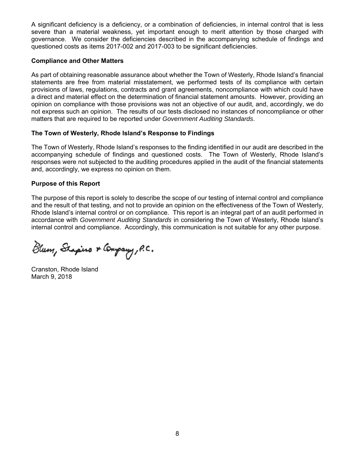A significant deficiency is a deficiency, or a combination of deficiencies, in internal control that is less severe than a material weakness, yet important enough to merit attention by those charged with governance. We consider the deficiencies described in the accompanying schedule of findings and questioned costs as items 2017-002 and 2017-003 to be significant deficiencies.

### **Compliance and Other Matters**

As part of obtaining reasonable assurance about whether the Town of Westerly, Rhode Island's financial statements are free from material misstatement, we performed tests of its compliance with certain provisions of laws, regulations, contracts and grant agreements, noncompliance with which could have a direct and material effect on the determination of financial statement amounts. However, providing an opinion on compliance with those provisions was not an objective of our audit, and, accordingly, we do not express such an opinion. The results of our tests disclosed no instances of noncompliance or other matters that are required to be reported under *Government Auditing Standards*.

### **The Town of Westerly, Rhode Island's Response to Findings**

The Town of Westerly, Rhode Island's responses to the finding identified in our audit are described in the accompanying schedule of findings and questioned costs. The Town of Westerly, Rhode Island's responses were not subjected to the auditing procedures applied in the audit of the financial statements and, accordingly, we express no opinion on them.

# **Purpose of this Report**

The purpose of this report is solely to describe the scope of our testing of internal control and compliance and the result of that testing, and not to provide an opinion on the effectiveness of the Town of Westerly, Rhode Island's internal control or on compliance. This report is an integral part of an audit performed in accordance with *Government Auditing Standards* in considering the Town of Westerly, Rhode Island's internal control and compliance. Accordingly, this communication is not suitable for any other purpose.

Blum, Shapino & Company, P.C.

Cranston, Rhode Island March 9, 2018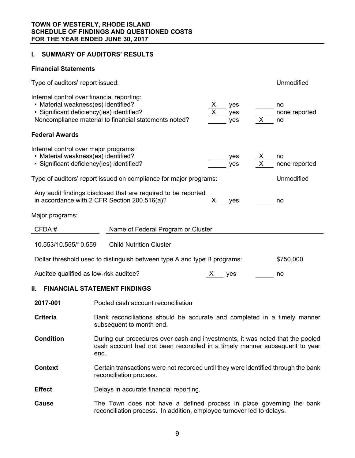# **I. SUMMARY OF AUDITORS' RESULTS**

#### **Financial Statements**

| Type of auditors' report issued:                                                                                               |                                                                                                                                                                     | Unmodified                |
|--------------------------------------------------------------------------------------------------------------------------------|---------------------------------------------------------------------------------------------------------------------------------------------------------------------|---------------------------|
| Internal control over financial reporting:<br>• Material weakness(es) identified?<br>· Significant deficiency(ies) identified? | X.<br>yes<br>yes<br>Noncompliance material to financial statements noted?<br>X<br>yes                                                                               | no<br>none reported<br>no |
| <b>Federal Awards</b>                                                                                                          |                                                                                                                                                                     |                           |
| Internal control over major programs:<br>• Material weakness(es) identified?<br>· Significant deficiency(ies) identified?      | yes<br>X<br>yes                                                                                                                                                     | no<br>none reported       |
|                                                                                                                                | Type of auditors' report issued on compliance for major programs:                                                                                                   | Unmodified                |
|                                                                                                                                | Any audit findings disclosed that are required to be reported<br>in accordance with 2 CFR Section 200.516(a)?<br>X.<br>yes                                          | no                        |
| Major programs:                                                                                                                |                                                                                                                                                                     |                           |
| CFDA#                                                                                                                          | Name of Federal Program or Cluster                                                                                                                                  |                           |
| 10.553/10.555/10.559                                                                                                           | <b>Child Nutrition Cluster</b>                                                                                                                                      |                           |
|                                                                                                                                | Dollar threshold used to distinguish between type A and type B programs:                                                                                            | \$750,000                 |
| Auditee qualified as low-risk auditee?                                                                                         | X yes                                                                                                                                                               | no                        |
| II.                                                                                                                            | <b>FINANCIAL STATEMENT FINDINGS</b>                                                                                                                                 |                           |
| 2017-001                                                                                                                       | Pooled cash account reconciliation                                                                                                                                  |                           |
| <b>Criteria</b>                                                                                                                | Bank reconciliations should be accurate and completed in a timely manner<br>subsequent to month end.                                                                |                           |
| <b>Condition</b>                                                                                                               | During our procedures over cash and investments, it was noted that the pooled<br>cash account had not been reconciled in a timely manner subsequent to year<br>end. |                           |
| Context                                                                                                                        | Certain transactions were not recorded until they were identified through the bank                                                                                  |                           |

**Effect** Delays in accurate financial reporting.

reconciliation process.

**Cause** The Town does not have a defined process in place governing the bank reconciliation process. In addition, employee turnover led to delays.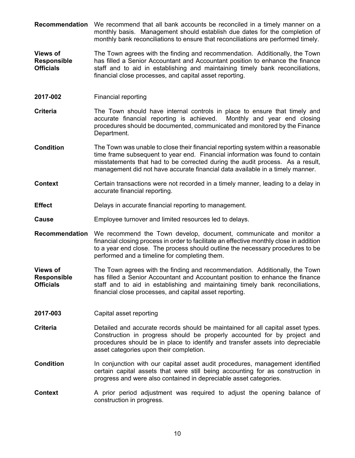- **Recommendation** We recommend that all bank accounts be reconciled in a timely manner on a monthly basis. Management should establish due dates for the completion of monthly bank reconciliations to ensure that reconciliations are performed timely.
- **Views of Responsible Officials**  The Town agrees with the finding and recommendation. Additionally, the Town has filled a Senior Accountant and Accountant position to enhance the finance staff and to aid in establishing and maintaining timely bank reconciliations, financial close processes, and capital asset reporting.
- **2017-002** Financial reporting
- **Criteria** The Town should have internal controls in place to ensure that timely and accurate financial reporting is achieved. Monthly and year end closing procedures should be documented, communicated and monitored by the Finance Department.
- **Condition** The Town was unable to close their financial reporting system within a reasonable time frame subsequent to year end. Financial information was found to contain misstatements that had to be corrected during the audit process. As a result, management did not have accurate financial data available in a timely manner.
- **Context** Certain transactions were not recorded in a timely manner, leading to a delay in accurate financial reporting.
- **Effect Delays in accurate financial reporting to management.**
- **Cause** Employee turnover and limited resources led to delays.
- **Recommendation** We recommend the Town develop, document, communicate and monitor a financial closing process in order to facilitate an effective monthly close in addition to a year end close. The process should outline the necessary procedures to be performed and a timeline for completing them.
- **Views of Responsible Officials**  The Town agrees with the finding and recommendation. Additionally, the Town has filled a Senior Accountant and Accountant position to enhance the finance staff and to aid in establishing and maintaining timely bank reconciliations, financial close processes, and capital asset reporting.
- **2017-003** Capital asset reporting
- **Criteria Detailed and accurate records should be maintained for all capital asset types.** Construction in progress should be properly accounted for by project and procedures should be in place to identify and transfer assets into depreciable asset categories upon their completion.
- **Condition** In conjunction with our capital asset audit procedures, management identified certain capital assets that were still being accounting for as construction in progress and were also contained in depreciable asset categories.
- **Context** A prior period adjustment was required to adjust the opening balance of construction in progress.